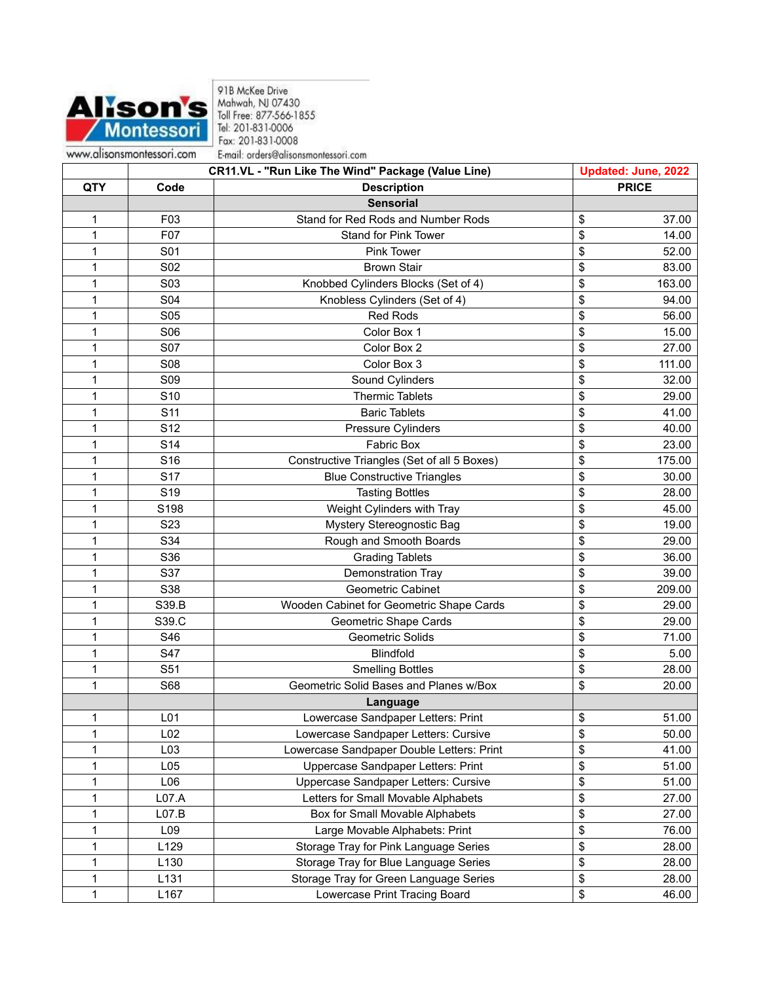

91B McKee Drive<br>Mahwah, NJ 07430<br>Toll Free: 877-566-1855<br>Tel: 201-831-0006 Fax: 201-831-0008 E-mail: orders@alisonsmontessori.com

|     |                  | CR11.VL - "Run Like The Wind" Package (Value Line) | <b>Updated: June, 2022</b> |
|-----|------------------|----------------------------------------------------|----------------------------|
| QTY | Code             | <b>Description</b>                                 | <b>PRICE</b>               |
|     |                  | <b>Sensorial</b>                                   |                            |
| 1   | F <sub>03</sub>  | Stand for Red Rods and Number Rods                 | \$<br>37.00                |
| 1   | F07              | Stand for Pink Tower                               | \$<br>14.00                |
| 1   | S01              | Pink Tower                                         | \$<br>52.00                |
| 1   | S02              | <b>Brown Stair</b>                                 | \$<br>83.00                |
| 1   | S03              | Knobbed Cylinders Blocks (Set of 4)                | \$<br>163.00               |
| 1   | S04              | Knobless Cylinders (Set of 4)                      | \$<br>94.00                |
| 1   | <b>S05</b>       | <b>Red Rods</b>                                    | \$<br>56.00                |
| 1   | S06              | Color Box 1                                        | \$<br>15.00                |
| 1   | S07              | Color Box 2                                        | \$<br>27.00                |
| 1   | <b>S08</b>       | Color Box 3                                        | \$<br>111.00               |
| 1   | <b>S09</b>       | Sound Cylinders                                    | \$<br>32.00                |
| 1   | S <sub>10</sub>  | <b>Thermic Tablets</b>                             | \$<br>29.00                |
| 1   | S <sub>11</sub>  | <b>Baric Tablets</b>                               | \$<br>41.00                |
| 1   | S12              | Pressure Cylinders                                 | \$<br>40.00                |
| 1   | S <sub>14</sub>  | <b>Fabric Box</b>                                  | \$<br>23.00                |
| 1   | S16              | Constructive Triangles (Set of all 5 Boxes)        | \$<br>175.00               |
| 1   | S17              | <b>Blue Constructive Triangles</b>                 | \$<br>30.00                |
| 1   | S <sub>19</sub>  | <b>Tasting Bottles</b>                             | \$<br>28.00                |
| 1   | S198             | Weight Cylinders with Tray                         | \$<br>45.00                |
| 1   | S <sub>2</sub> 3 | Mystery Stereognostic Bag                          | \$<br>19.00                |
| 1   | S34              | Rough and Smooth Boards                            | \$<br>29.00                |
| 1   | S36              | <b>Grading Tablets</b>                             | \$<br>36.00                |
| 1   | S37              | Demonstration Tray                                 | \$<br>39.00                |
| 1   | S38              | <b>Geometric Cabinet</b>                           | \$<br>209.00               |
| 1   | S39.B            | Wooden Cabinet for Geometric Shape Cards           | \$<br>29.00                |
| 1   | S39.C            | <b>Geometric Shape Cards</b>                       | \$<br>29.00                |
| 1   | S46              | Geometric Solids                                   | \$<br>71.00                |
| 1   | S47              | <b>Blindfold</b>                                   | \$<br>5.00                 |
| 1   | S51              | <b>Smelling Bottles</b>                            | \$<br>28.00                |
| 1   | S68              | Geometric Solid Bases and Planes w/Box             | \$<br>20.00                |
|     |                  | Language                                           |                            |
| 1   | L <sub>01</sub>  | Lowercase Sandpaper Letters: Print                 | \$<br>51.00                |
| 1   | L <sub>02</sub>  | Lowercase Sandpaper Letters: Cursive               | \$<br>50.00                |
| 1   | L <sub>03</sub>  | Lowercase Sandpaper Double Letters: Print          | \$<br>41.00                |
| 1   | L <sub>05</sub>  | Uppercase Sandpaper Letters: Print                 | \$<br>51.00                |
| 1   | L06              | Uppercase Sandpaper Letters: Cursive               | \$<br>51.00                |
| 1   | L07.A            | Letters for Small Movable Alphabets                | \$<br>27.00                |
| 1   | L07.B            | Box for Small Movable Alphabets                    | \$<br>27.00                |
| 1   | L <sub>09</sub>  | Large Movable Alphabets: Print                     | \$<br>76.00                |
| 1   | L129             | Storage Tray for Pink Language Series              | \$<br>28.00                |
| 1   | L130             | Storage Tray for Blue Language Series              | \$<br>28.00                |
| 1   | L131             | Storage Tray for Green Language Series             | \$<br>28.00                |
| 1   | L167             | Lowercase Print Tracing Board                      | \$<br>46.00                |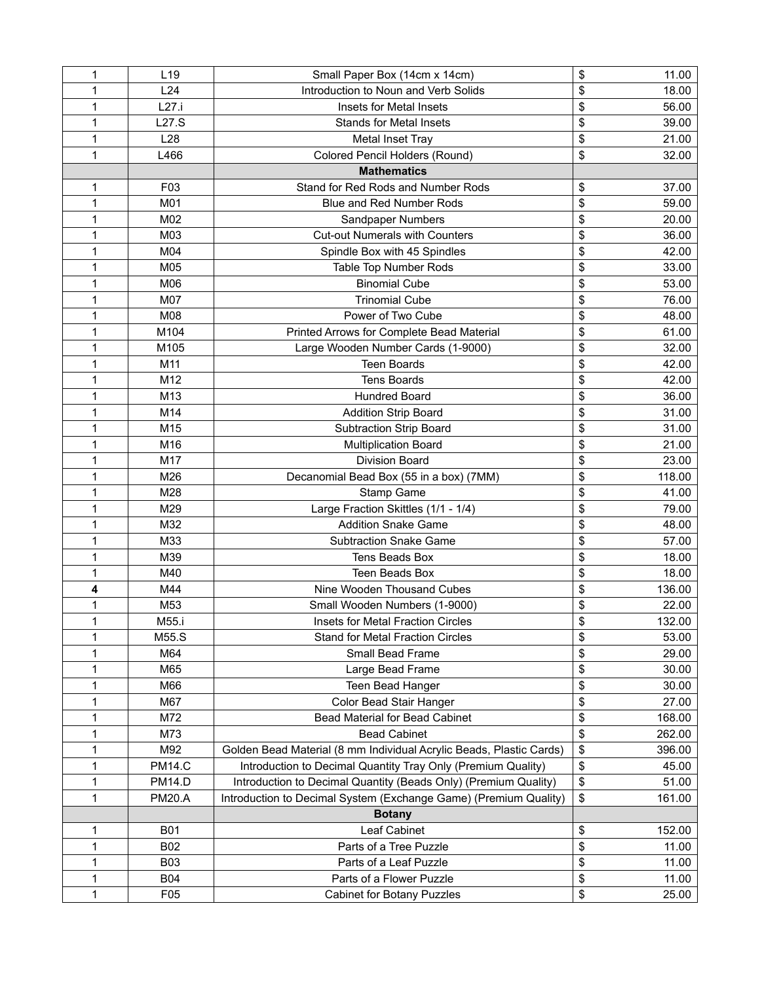| 1            | L <sub>19</sub> | Small Paper Box (14cm x 14cm)                                       | \$ | 11.00  |
|--------------|-----------------|---------------------------------------------------------------------|----|--------|
| 1            | L24             | Introduction to Noun and Verb Solids                                | \$ | 18.00  |
| 1            | L27.i           | Insets for Metal Insets                                             | \$ | 56.00  |
| 1            | L27.S           | <b>Stands for Metal Insets</b>                                      | \$ | 39.00  |
| 1            | L <sub>28</sub> | Metal Inset Tray                                                    | \$ | 21.00  |
| 1            | L466            | Colored Pencil Holders (Round)                                      | \$ | 32.00  |
|              |                 | <b>Mathematics</b>                                                  |    |        |
| 1            | F <sub>03</sub> | Stand for Red Rods and Number Rods                                  | \$ | 37.00  |
| 1            | M01             | <b>Blue and Red Number Rods</b>                                     | \$ | 59.00  |
| 1            | M02             | Sandpaper Numbers                                                   | \$ | 20.00  |
| 1            | M03             | <b>Cut-out Numerals with Counters</b>                               | \$ | 36.00  |
| 1            | M04             | Spindle Box with 45 Spindles                                        | \$ | 42.00  |
| 1            | M05             | Table Top Number Rods                                               | \$ | 33.00  |
| 1            | M06             | <b>Binomial Cube</b>                                                | \$ | 53.00  |
| 1            | M07             | <b>Trinomial Cube</b>                                               | \$ | 76.00  |
| 1            | M08             | Power of Two Cube                                                   | \$ | 48.00  |
| 1            | M104            | Printed Arrows for Complete Bead Material                           | \$ | 61.00  |
| 1            | M105            | Large Wooden Number Cards (1-9000)                                  | \$ | 32.00  |
| 1            | M11             | <b>Teen Boards</b>                                                  | \$ | 42.00  |
| 1            | M12             | <b>Tens Boards</b>                                                  | \$ | 42.00  |
| 1            | M <sub>13</sub> | <b>Hundred Board</b>                                                | \$ | 36.00  |
| 1            | M14             | <b>Addition Strip Board</b>                                         | \$ | 31.00  |
| $\mathbf{1}$ | M15             | <b>Subtraction Strip Board</b>                                      | \$ | 31.00  |
| 1            | M16             | <b>Multiplication Board</b>                                         | \$ | 21.00  |
| 1            | M17             | <b>Division Board</b>                                               | \$ | 23.00  |
| 1            | M26             | Decanomial Bead Box (55 in a box) (7MM)                             | \$ | 118.00 |
| 1            | M28             | Stamp Game                                                          | \$ | 41.00  |
| 1            | M29             | Large Fraction Skittles (1/1 - 1/4)                                 | \$ | 79.00  |
| 1            | M32             | <b>Addition Snake Game</b>                                          | \$ | 48.00  |
| 1            | M33             | <b>Subtraction Snake Game</b>                                       | \$ | 57.00  |
| 1            | M39             | Tens Beads Box                                                      | \$ | 18.00  |
| 1            | M40             | <b>Teen Beads Box</b>                                               | \$ | 18.00  |
| 4            | M44             | Nine Wooden Thousand Cubes                                          | \$ | 136.00 |
| 1            | M53             | Small Wooden Numbers (1-9000)                                       | \$ | 22.00  |
| 1            | M55.i           | Insets for Metal Fraction Circles                                   | ፍ  | 132.00 |
| 1            | M55.S           | <b>Stand for Metal Fraction Circles</b>                             | \$ | 53.00  |
| 1            | M64             | Small Bead Frame                                                    | \$ | 29.00  |
| 1            | M65             | Large Bead Frame                                                    | \$ | 30.00  |
| 1            | M66             | Teen Bead Hanger                                                    | \$ | 30.00  |
| 1            | M67             | Color Bead Stair Hanger                                             | \$ | 27.00  |
| 1            | M72             | Bead Material for Bead Cabinet                                      | \$ | 168.00 |
| 1            | M73             | <b>Bead Cabinet</b>                                                 | \$ | 262.00 |
| 1            | M92             | Golden Bead Material (8 mm Individual Acrylic Beads, Plastic Cards) | \$ | 396.00 |
| 1            | <b>PM14.C</b>   | Introduction to Decimal Quantity Tray Only (Premium Quality)        | \$ | 45.00  |
| 1            | <b>PM14.D</b>   | Introduction to Decimal Quantity (Beads Only) (Premium Quality)     | \$ | 51.00  |
| $\mathbf{1}$ | <b>PM20.A</b>   | Introduction to Decimal System (Exchange Game) (Premium Quality)    | \$ | 161.00 |
|              |                 | <b>Botany</b>                                                       |    |        |
| 1            | <b>B01</b>      | Leaf Cabinet                                                        | \$ | 152.00 |
| 1            | <b>B02</b>      | Parts of a Tree Puzzle                                              | \$ | 11.00  |
| 1            | <b>B03</b>      | Parts of a Leaf Puzzle                                              | \$ | 11.00  |
| 1            | <b>B04</b>      | Parts of a Flower Puzzle                                            | \$ | 11.00  |
| 1            | F05             | <b>Cabinet for Botany Puzzles</b>                                   | \$ | 25.00  |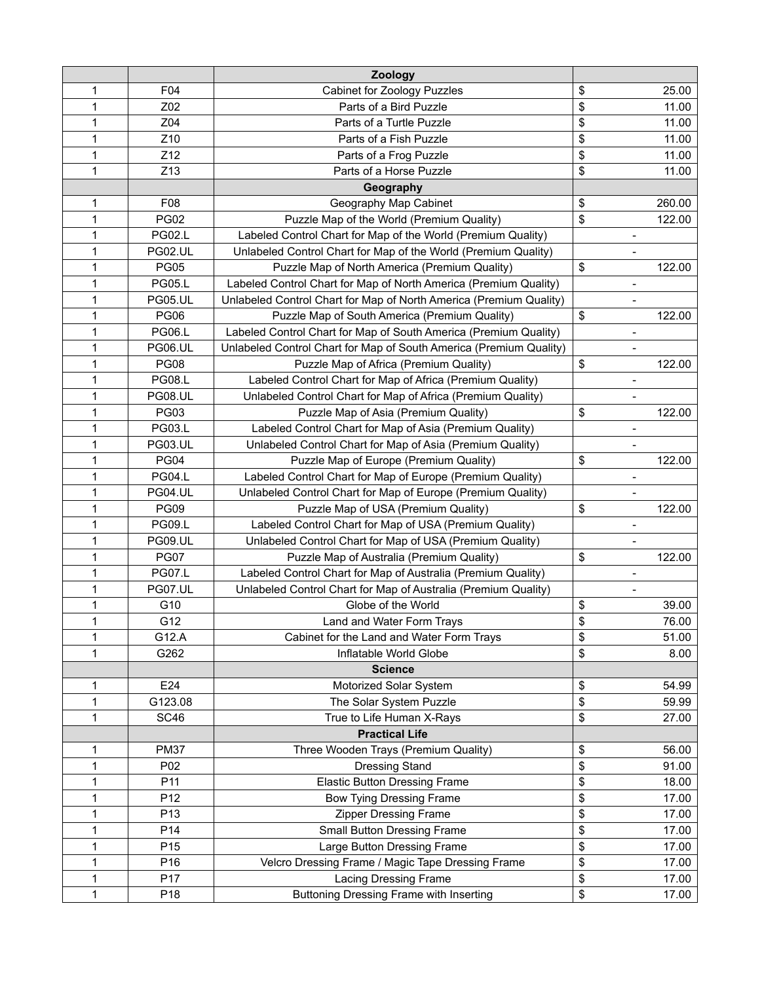|   |                 | Zoology                                                            |                              |        |
|---|-----------------|--------------------------------------------------------------------|------------------------------|--------|
| 1 | F04             | Cabinet for Zoology Puzzles                                        | \$                           | 25.00  |
| 1 | Z02             | Parts of a Bird Puzzle                                             | \$                           | 11.00  |
| 1 | Z04             | Parts of a Turtle Puzzle                                           | \$                           | 11.00  |
| 1 | Z <sub>10</sub> | Parts of a Fish Puzzle                                             | \$                           | 11.00  |
| 1 | Z12             | Parts of a Frog Puzzle                                             | \$                           | 11.00  |
| 1 | Z13             | Parts of a Horse Puzzle                                            | \$                           | 11.00  |
|   |                 | Geography                                                          |                              |        |
| 1 | F08             | Geography Map Cabinet                                              | \$                           | 260.00 |
| 1 | <b>PG02</b>     | Puzzle Map of the World (Premium Quality)                          | \$                           | 122.00 |
| 1 | <b>PG02.L</b>   | Labeled Control Chart for Map of the World (Premium Quality)       | $\overline{\phantom{a}}$     |        |
| 1 | <b>PG02.UL</b>  | Unlabeled Control Chart for Map of the World (Premium Quality)     | $\overline{\phantom{a}}$     |        |
| 1 | <b>PG05</b>     | Puzzle Map of North America (Premium Quality)                      | \$                           | 122.00 |
| 1 | <b>PG05.L</b>   | Labeled Control Chart for Map of North America (Premium Quality)   | $\qquad \qquad -$            |        |
| 1 | PG05.UL         | Unlabeled Control Chart for Map of North America (Premium Quality) | $\qquad \qquad -$            |        |
| 1 | <b>PG06</b>     | Puzzle Map of South America (Premium Quality)                      | \$                           | 122.00 |
| 1 | <b>PG06.L</b>   | Labeled Control Chart for Map of South America (Premium Quality)   |                              |        |
| 1 | <b>PG06.UL</b>  | Unlabeled Control Chart for Map of South America (Premium Quality) | ÷                            |        |
| 1 | <b>PG08</b>     | Puzzle Map of Africa (Premium Quality)                             | \$                           | 122.00 |
| 1 | <b>PG08.L</b>   | Labeled Control Chart for Map of Africa (Premium Quality)          | $\qquad \qquad -$            |        |
| 1 | <b>PG08.UL</b>  | Unlabeled Control Chart for Map of Africa (Premium Quality)        | $\overline{\phantom{0}}$     |        |
| 1 | <b>PG03</b>     | Puzzle Map of Asia (Premium Quality)                               | \$                           | 122.00 |
| 1 | <b>PG03.L</b>   | Labeled Control Chart for Map of Asia (Premium Quality)            | ÷                            |        |
| 1 | <b>PG03.UL</b>  | Unlabeled Control Chart for Map of Asia (Premium Quality)          | $\overline{a}$               |        |
| 1 | <b>PG04</b>     | Puzzle Map of Europe (Premium Quality)                             | \$                           | 122.00 |
| 1 | <b>PG04.L</b>   | Labeled Control Chart for Map of Europe (Premium Quality)          | $\overline{a}$               |        |
| 1 | <b>PG04.UL</b>  | Unlabeled Control Chart for Map of Europe (Premium Quality)        | $\qquad \qquad \blacksquare$ |        |
| 1 | <b>PG09</b>     | Puzzle Map of USA (Premium Quality)                                | \$                           | 122.00 |
| 1 | <b>PG09.L</b>   | Labeled Control Chart for Map of USA (Premium Quality)             | $\overline{a}$               |        |
| 1 | <b>PG09.UL</b>  | Unlabeled Control Chart for Map of USA (Premium Quality)           |                              |        |
| 1 | <b>PG07</b>     | Puzzle Map of Australia (Premium Quality)                          | \$                           | 122.00 |
| 1 | <b>PG07.L</b>   | Labeled Control Chart for Map of Australia (Premium Quality)       | $\overline{a}$               |        |
| 1 | PG07.UL         | Unlabeled Control Chart for Map of Australia (Premium Quality)     | $\qquad \qquad -$            |        |
| 1 | G10             | Globe of the World                                                 | \$                           | 39.00  |
| 1 | G12             | Land and Water Form Trays                                          | \$                           | 76.00  |
| 1 | G12.A           | Cabinet for the Land and Water Form Trays                          | \$                           | 51.00  |
| 1 | G262            | Inflatable World Globe                                             | \$                           | 8.00   |
|   |                 | <b>Science</b>                                                     |                              |        |
| 1 | E24             | Motorized Solar System                                             | \$                           | 54.99  |
| 1 | G123.08         | The Solar System Puzzle                                            | \$                           | 59.99  |
| 1 | SC46            | True to Life Human X-Rays                                          | \$                           | 27.00  |
|   |                 | <b>Practical Life</b>                                              |                              |        |
| 1 | <b>PM37</b>     | Three Wooden Trays (Premium Quality)                               | \$                           | 56.00  |
| 1 | P02             | <b>Dressing Stand</b>                                              | \$                           | 91.00  |
| 1 | P11             | <b>Elastic Button Dressing Frame</b>                               | \$                           | 18.00  |
| 1 | P12             | Bow Tying Dressing Frame                                           | \$                           | 17.00  |
| 1 | P13             | <b>Zipper Dressing Frame</b>                                       | \$                           | 17.00  |
| 1 | P14             | Small Button Dressing Frame                                        | \$                           | 17.00  |
| 1 | P15             | Large Button Dressing Frame                                        | \$                           | 17.00  |
| 1 | P16             | Velcro Dressing Frame / Magic Tape Dressing Frame                  | \$                           | 17.00  |
| 1 | P17             | Lacing Dressing Frame                                              | \$                           | 17.00  |
| 1 | P18             | Buttoning Dressing Frame with Inserting                            | \$                           | 17.00  |